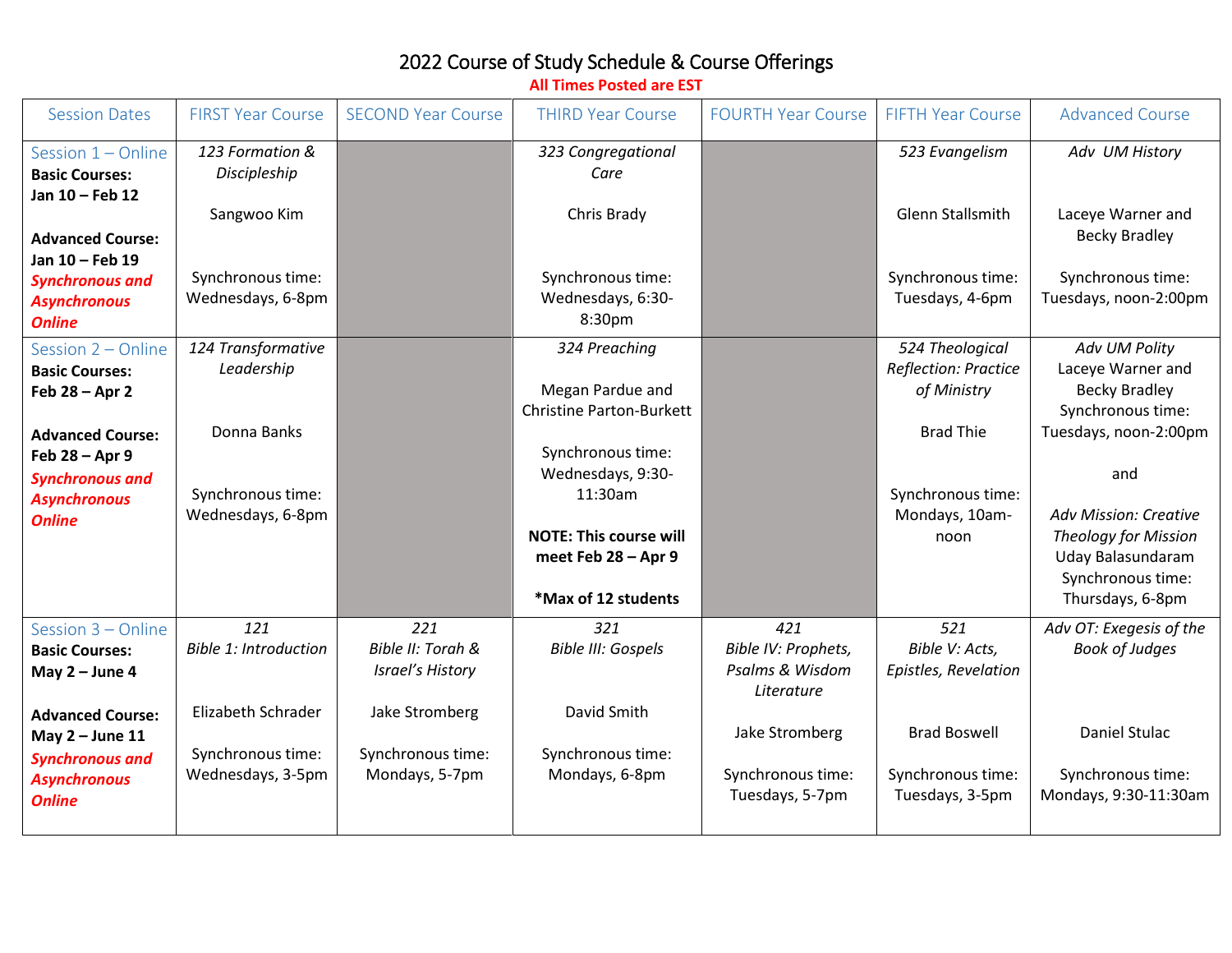## 2022 Course of Study Schedule & Course Offerings

Session Dates FIRST Year Course SECOND Year Course THIRD Year Course FOURTH Year Course FIFTH Year Course Advanced Course Session 1 – Online **Basic Courses: Jan 10 – Feb 12 Advanced Course: Jan 10 – Feb 19** *Synchronous and Asynchronous Online 123 Formation & Discipleship* Sangwoo Kim Synchronous time: Wednesdays, 6-8pm *323 Congregational Care* Chris Brady Synchronous time: Wednesdays, 6:30- 8:30pm *523 Evangelism* Glenn Stallsmith Synchronous time: Tuesdays, 4-6pm *Adv UM History* Laceye Warner and Becky Bradley Synchronous time: Tuesdays, noon-2:00pm Session 2 – Online **Basic Courses: Feb 28 – Apr 2 Advanced Course: Feb 28 – Apr 9** *Synchronous and Asynchronous Online 124 Transformative Leadership* Donna Banks Synchronous time: Wednesdays, 6-8pm *324 Preaching* Megan Pardue and Christine Parton-Burkett Synchronous time: Wednesdays, 9:30- 11:30am **NOTE: This course will meet Feb 28 – Apr 9 \*Max of 12 students** *524 Theological Reflection: Practice of Ministry* Brad Thie Synchronous time: Mondays, 10amnoon *Adv UM Polity* Laceye Warner and Becky Bradley Synchronous time: Tuesdays, noon-2:00pm and *Adv Mission: Creative Theology for Mission* Uday Balasundaram Synchronous time: Thursdays, 6-8pm Session 3 – Online **Basic Courses: May 2 – June 4 Advanced Course: May 2 – June 11** *Synchronous and Asynchronous Online 121 Bible 1: Introduction* Elizabeth Schrader Synchronous time: Wednesdays, 3-5pm *221 Bible II: Torah & Israel's History* Jake Stromberg Synchronous time: Mondays, 5-7pm *321 Bible III: Gospels* David Smith Synchronous time: Mondays, 6-8pm *421 Bible IV: Prophets, Psalms & Wisdom Literature* Jake Stromberg Synchronous time: Tuesdays, 5-7pm *521 Bible V: Acts, Epistles, Revelation* Brad Boswell Synchronous time: Tuesdays, 3-5pm *Adv OT: Exegesis of the Book of Judges* Daniel Stulac Synchronous time: Mondays, 9:30-11:30am

**All Times Posted are EST**